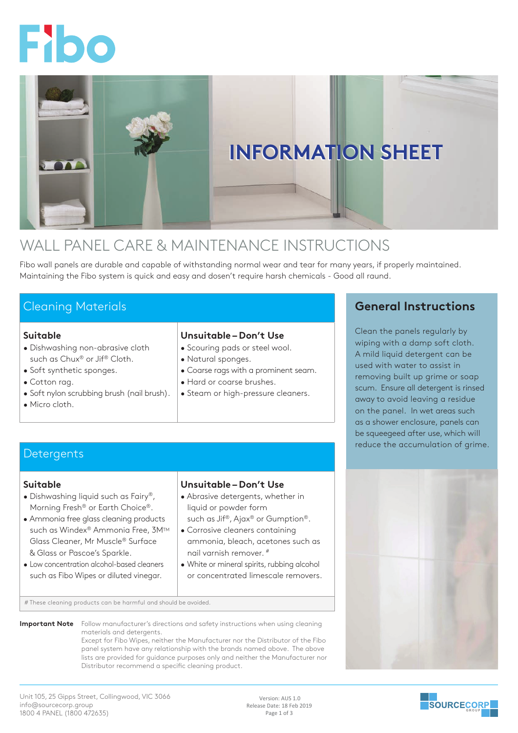



# WALL PANEL CARE & MAINTENANCE INSTRUCTIONS

Fibo wall panels are durable and capable of withstanding normal wear and tear for many years, if properly maintained. Maintaining the Fibo system is quick and easy and dosen't require harsh chemicals - Good all raund.

# Cleaning Materials

### **Suitable**

- Dishwashing non-abrasive cloth such as Chux® or Jif® Cloth.
- Soft synthetic sponges.
- Cotton rag.
- Soft nylon scrubbing brush (nail brush).
- Micro cloth.

### **Unsuitable – Don't Use**

- Scouring pads or steel wool.
- Natural sponges.
- Coarse rags with a prominent seam.
- Hard or coarse brushes.
- Steam or high-pressure cleaners.

## **Detergents**

### **Suitable**

- Dishwashing liquid such as Fairy®, Morning Fresh® or Earth Choice®.
- Ammonia free glass cleaning products such as Windex® Ammonia Free, 3M™ Glass Cleaner, Mr Muscle® Surface & Glass or Pascoe's Sparkle.
- Low concentration alcohol-based cleaners such as Fibo Wipes or diluted vinegar.

### **Unsuitable – Don't Use**

- Abrasive detergents, whether in liquid or powder form
- such as Jif®, Ajax® or Gumption®. • Corrosive cleaners containing
- ammonia, bleach, acetones such as nail varnish remover. #
- White or mineral spirits, rubbing alcohol or concentrated limescale removers.

# These cleaning products can be harmful and should be avoided.

**Important Note** Follow manufacturer's directions and safety instructions when using cleaning materials and detergents.

Except for Fibo Wipes, neither the Manufacturer nor the Distributor of the Fibo panel system have any relationship with the brands named above. The above lists are provided for guidance purposes only and neither the Manufacturer nor Distributor recommend a specific cleaning product.

### Unit 105, 25 Gipps Street, Collingwood, VIC 3066 info@sourcecorp.group 1800 4 PANEL (1800 472635)

 Version: AUS 1.0 Release Date: 18 Feb 2019 Page 1 of 3

## **General Instructions**

Clean the panels regularly by wiping with a damp soft cloth. A mild liquid detergent can be used with water to assist in removing built up grime or soap scum. Ensure all detergent is rinsed away to avoid leaving a residue on the panel. In wet areas such as a shower enclosure, panels can be squeegeed after use, which will reduce the accumulation of grime.



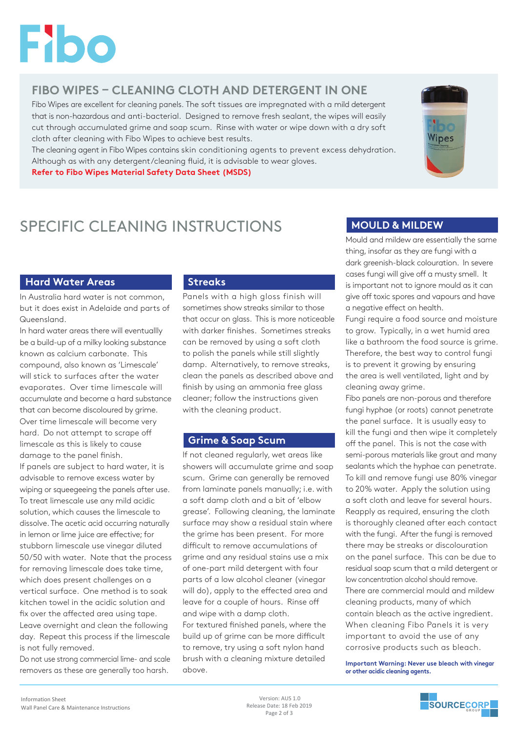

# **FIBO WIPES – CLEANING CLOTH AND DETERGENT IN ONE**

Fibo Wipes are excellent for cleaning panels. The soft tissues are impregnated with a mild detergent that is non-hazardous and anti-bacterial. Designed to remove fresh sealant, the wipes will easily cut through accumulated grime and soap scum. Rinse with water or wipe down with a dry soft cloth after cleaning with Fibo Wipes to achieve best results.

The cleaning agent in Fibo Wipes contains skin conditioning agents to prevent excess dehydration. Although as with any detergent/cleaning fluid, it is advisable to wear gloves.

**Refer to Fibo Wipes Material Safety Data Sheet (MSDS)**



# **SPECIFIC CLEANING INSTRUCTIONS MOULD & MILDEW**

### **Hard Water Areas**

In Australia hard water is not common, but it does exist in Adelaide and parts of Queensland.

In hard water areas there will eventuallly be a build-up of a milky looking substance known as calcium carbonate. This compound, also known as 'Limescale' will stick to surfaces after the water evaporates. Over time limescale will accumulate and become a hard substance that can become discoloured by grime. Over time limescale will become very hard. Do not attempt to scrape off limescale as this is likely to cause damage to the panel finish. If panels are subject to hard water, it is advisable to remove excess water by wiping or squeegeeing the panels after use. To treat limescale use any mild acidic solution, which causes the limescale to dissolve. The acetic acid occurring naturally in lemon or lime juice are effective; for stubborn limescale use vinegar diluted 50/50 with water. Note that the process for removing limescale does take time, which does present challenges on a vertical surface. One method is to soak kitchen towel in the acidic solution and fix over the affected area using tape. Leave overnight and clean the following day. Repeat this process if the limescale is not fully removed.

Do not use strong commercial lime- and scale removers as these are generally too harsh.

### **Streaks**

Panels with a high gloss finish will sometimes show streaks similar to those that occur on glass. This is more noticeable with darker finishes. Sometimes streaks can be removed by using a soft cloth to polish the panels while still slightly damp. Alternatively, to remove streaks, clean the panels as described above and finish by using an ammonia free glass cleaner; follow the instructions given with the cleaning product.

### **Grime & Soap Scum**

If not cleaned regularly, wet areas like showers will accumulate grime and soap scum. Grime can generally be removed from laminate panels manually; i.e. with a soft damp cloth and a bit of 'elbow grease'. Following cleaning, the laminate surface may show a residual stain where the grime has been present. For more difficult to remove accumulations of grime and any residual stains use a mix of one-part mild detergent with four parts of a low alcohol cleaner (vinegar will do), apply to the effected area and leave for a couple of hours. Rinse off and wipe with a damp cloth. For textured finished panels, where the

build up of grime can be more difficult to remove, try using a soft nylon hand brush with a cleaning mixture detailed above.

Mould and mildew are essentially the same thing, insofar as they are fungi with a dark greenish-black colouration. In severe cases fungi will give off a musty smell. It is important not to ignore mould as it can give off toxic spores and vapours and have a negative effect on health.

Fungi require a food source and moisture to grow. Typically, in a wet humid area like a bathroom the food source is grime. Therefore, the best way to control fungi is to prevent it growing by ensuring the area is well ventilated, light and by cleaning away grime.

Fibo panels are non-porous and therefore fungi hyphae (or roots) cannot penetrate the panel surface. It is usually easy to kill the fungi and then wipe it completely off the panel. This is not the case with semi-porous materials like grout and many sealants which the hyphae can penetrate. To kill and remove fungi use 80% vinegar to 20% water. Apply the solution using a soft cloth and leave for several hours. Reapply as required, ensuring the cloth is thoroughly cleaned after each contact with the fungi. After the fungi is removed there may be streaks or discolouration on the panel surface. This can be due to residual soap scum that a mild detergent or low concentration alcohol should remove. There are commercial mould and mildew cleaning products, many of which contain bleach as the active ingredient. When cleaning Fibo Panels it is very important to avoid the use of any corrosive products such as bleach.

**Important Warning: Never use bleach with vinegar or other acidic cleaning agents.**



 Version: AUS 1.0 Release Date: 18 Feb 2019 Page 2 of 3